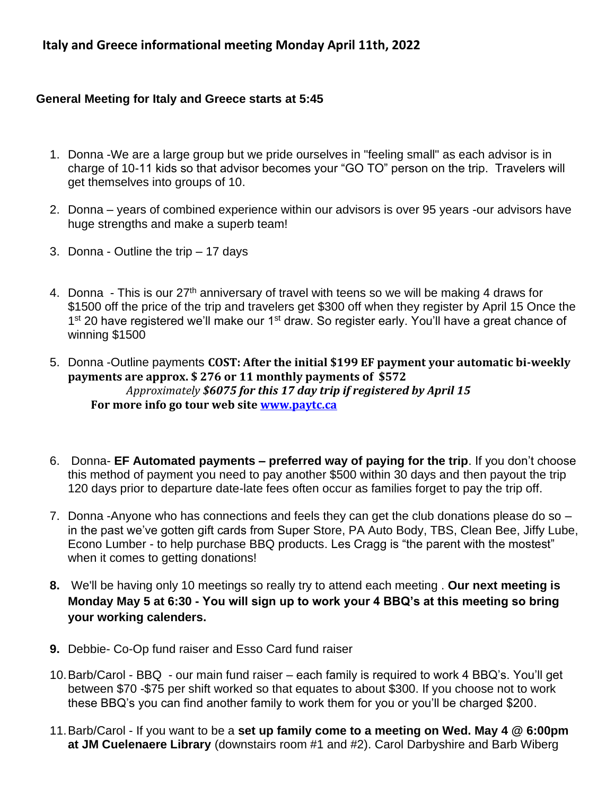# **Italy and Greece informational meeting Monday April 11th, 2022**

### **General Meeting for Italy and Greece starts at 5:45**

- 1. Donna -We are a large group but we pride ourselves in "feeling small" as each advisor is in charge of 10-11 kids so that advisor becomes your "GO TO" person on the trip. Travelers will get themselves into groups of 10.
- 2. Donna years of combined experience within our advisors is over 95 years -our advisors have huge strengths and make a superb team!
- 3. Donna Outline the trip 17 days
- 4. Donna This is our 27<sup>th</sup> anniversary of travel with teens so we will be making 4 draws for \$1500 off the price of the trip and travelers get \$300 off when they register by April 15 Once the 1<sup>st</sup> 20 have registered we'll make our 1<sup>st</sup> draw. So register early. You'll have a great chance of winning \$1500
- 5. Donna -Outline payments **COST: After the initial \$199 EF payment your automatic bi-weekly payments are approx. \$ 276 or 11 monthly payments of \$572**  *Approximately \$6075 for this 17 day trip if registered by April 15* **For more info go tour web site [www.paytc.ca](http://www.paytc.ca/)**
- 6. Donna- **EF Automated payments – preferred way of paying for the trip**. If you don't choose this method of payment you need to pay another \$500 within 30 days and then payout the trip 120 days prior to departure date-late fees often occur as families forget to pay the trip off.
- 7. Donna -Anyone who has connections and feels they can get the club donations please do so in the past we've gotten gift cards from Super Store, PA Auto Body, TBS, Clean Bee, Jiffy Lube, Econo Lumber - to help purchase BBQ products. Les Cragg is "the parent with the mostest" when it comes to getting donations!
- **8.** We'll be having only 10 meetings so really try to attend each meeting . **Our next meeting is Monday May 5 at 6:30 - You will sign up to work your 4 BBQ's at this meeting so bring your working calenders.**
- **9.** Debbie- Co-Op fund raiser and Esso Card fund raiser
- 10.Barb/Carol BBQ our main fund raiser each family is required to work 4 BBQ's. You'll get between \$70 -\$75 per shift worked so that equates to about \$300. If you choose not to work these BBQ's you can find another family to work them for you or you'll be charged \$200.
- 11.Barb/Carol If you want to be a **set up family come to a meeting on Wed. May 4 @ 6:00pm at JM Cuelenaere Library** (downstairs room #1 and #2). Carol Darbyshire and Barb Wiberg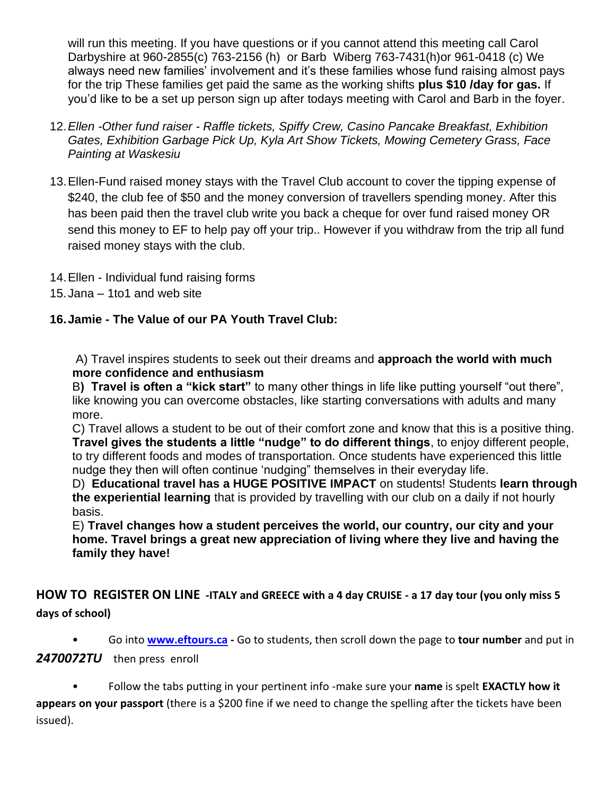will run this meeting. If you have questions or if you cannot attend this meeting call Carol Darbyshire at 960-2855(c) 763-2156 (h) or Barb Wiberg 763-7431(h)or 961-0418 (c) We always need new families' involvement and it's these families whose fund raising almost pays for the trip These families get paid the same as the working shifts **plus \$10 /day for gas.** If you'd like to be a set up person sign up after todays meeting with Carol and Barb in the foyer.

- 12.*Ellen -Other fund raiser - Raffle tickets, Spiffy Crew, Casino Pancake Breakfast, Exhibition Gates, Exhibition Garbage Pick Up, Kyla Art Show Tickets, Mowing Cemetery Grass, Face Painting at Waskesiu*
- 13.Ellen-Fund raised money stays with the Travel Club account to cover the tipping expense of \$240, the club fee of \$50 and the money conversion of travellers spending money. After this has been paid then the travel club write you back a cheque for over fund raised money OR send this money to EF to help pay off your trip.. However if you withdraw from the trip all fund raised money stays with the club.
- 14.Ellen Individual fund raising forms
- 15.Jana 1to1 and web site

# **16.Jamie - The Value of our PA Youth Travel Club:**

A) Travel inspires students to seek out their dreams and **approach the world with much more confidence and enthusiasm**

B**) Travel is often a "kick start"** to many other things in life like putting yourself "out there", like knowing you can overcome obstacles, like starting conversations with adults and many more.

C) Travel allows a student to be out of their comfort zone and know that this is a positive thing. **Travel gives the students a little "nudge" to do different things**, to enjoy different people, to try different foods and modes of transportation. Once students have experienced this little nudge they then will often continue 'nudging" themselves in their everyday life.

D) **Educational travel has a HUGE POSITIVE IMPACT** on students! Students **learn through the experiential learning** that is provided by travelling with our club on a daily if not hourly basis.

E) **Travel changes how a student perceives the world, our country, our city and your home. Travel brings a great new appreciation of living where they live and having the family they have!** 

# **HOW TO REGISTER ON LINE -ITALY and GREECE with a 4 day CRUISE - a 17 day tour (you only miss 5 days of school)**

• Go into **[www.eftours.ca](http://www.eftours.ca/) -** Go to students, then scroll down the page to **tour number** and put in

### 2470072TU then press enroll

• Follow the tabs putting in your pertinent info -make sure your **name** is spelt **EXACTLY how it** 

**appears on your passport** (there is a \$200 fine if we need to change the spelling after the tickets have been issued).